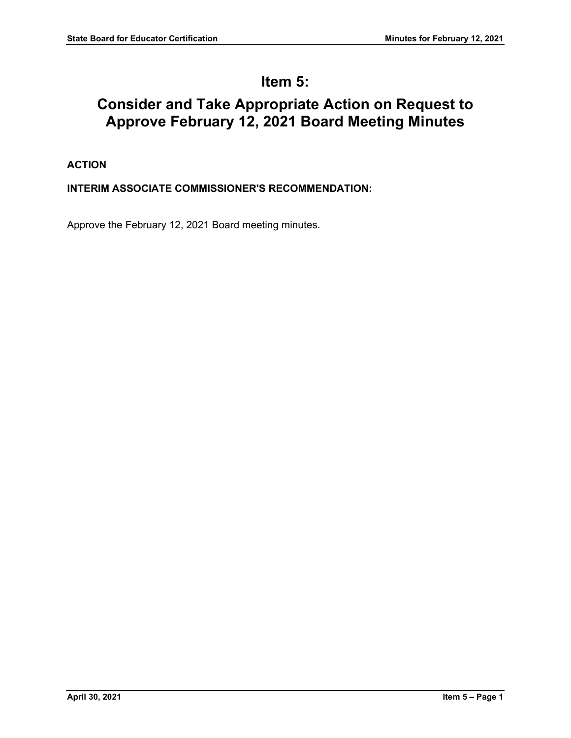# **Item 5:**

# **Consider and Take Appropriate Action on Request to Approve February 12, 2021 Board Meeting Minutes**

## **ACTION**

## **INTERIM ASSOCIATE COMMISSIONER'S RECOMMENDATION:**

Approve the February 12, 2021 Board meeting minutes.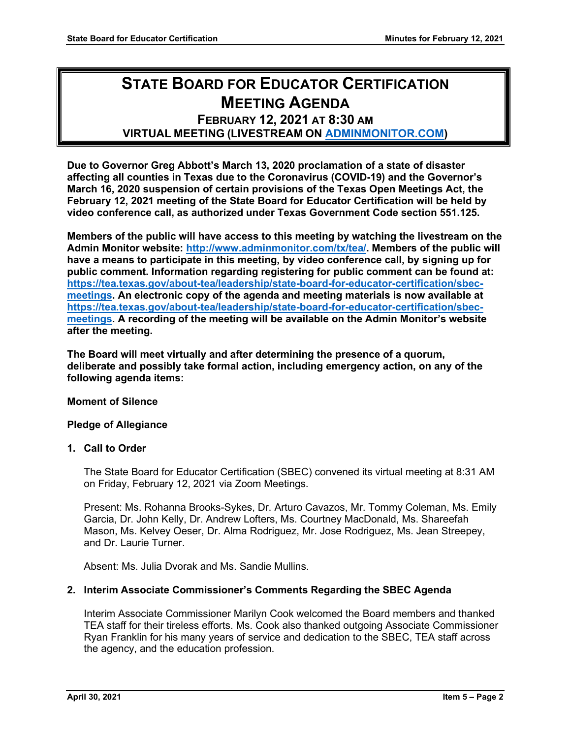# **STATE BOARD FOR EDUCATOR CERTIFICATION MEETING AGENDA**

## **FEBRUARY 12, 2021 AT 8:30 AM VIRTUAL MEETING (LIVESTREAM ON [ADMINMONITOR.COM\)](http://www.adminmonitor.com/tx/tea/)**

**Due to Governor Greg Abbott's March 13, 2020 proclamation of a state of disaster affecting all counties in Texas due to the Coronavirus (COVID-19) and the Governor's March 16, 2020 suspension of certain provisions of the Texas Open Meetings Act, the February 12, 2021 meeting of the State Board for Educator Certification will be held by video conference call, as authorized under Texas Government Code section 551.125.**

**Members of the public will have access to this meeting by watching the livestream on the Admin Monitor website: [http://www.adminmonitor.com/tx/tea/.](http://www.adminmonitor.com/tx/tea/) Members of the public will have a means to participate in this meeting, by video conference call, by signing up for public comment. Information regarding registering for public comment can be found at: [https://tea.texas.gov/about-tea/leadership/state-board-for-educator-certification/sbec](https://nam10.safelinks.protection.outlook.com/?url=https%3A%2F%2Ftea.texas.gov%2Fabout-tea%2Fleadership%2Fstate-board-for-educator-certification%2Fsbec-meetings&data=02%7C01%7CKatelin.Allen%40tea.texas.gov%7C33f09bed51314321053e08d7e6d36cb5%7C65d6b3c3723648189613248dbd713a6f%7C0%7C0%7C637231668044732631&sdata=p8LIEPR4IIZEJnEdirrTXTHGHIbtX2MWtvumJv7Tzho%3D&reserved=0)[meetings.](https://nam10.safelinks.protection.outlook.com/?url=https%3A%2F%2Ftea.texas.gov%2Fabout-tea%2Fleadership%2Fstate-board-for-educator-certification%2Fsbec-meetings&data=02%7C01%7CKatelin.Allen%40tea.texas.gov%7C33f09bed51314321053e08d7e6d36cb5%7C65d6b3c3723648189613248dbd713a6f%7C0%7C0%7C637231668044732631&sdata=p8LIEPR4IIZEJnEdirrTXTHGHIbtX2MWtvumJv7Tzho%3D&reserved=0) An electronic copy of the agenda and meeting materials is now available at [https://tea.texas.gov/about-tea/leadership/state-board-for-educator-certification/sbec](https://tea.texas.gov/about-tea/leadership/state-board-for-educator-certification/sbec-meetings)[meetings.](https://tea.texas.gov/about-tea/leadership/state-board-for-educator-certification/sbec-meetings) A recording of the meeting will be available on the Admin Monitor's website after the meeting.**

**The Board will meet virtually and after determining the presence of a quorum, deliberate and possibly take formal action, including emergency action, on any of the following agenda items:**

#### **Moment of Silence**

#### **Pledge of Allegiance**

#### **1. Call to Order**

The State Board for Educator Certification (SBEC) convened its virtual meeting at 8:31 AM on Friday, February 12, 2021 via Zoom Meetings.

Present: Ms. Rohanna Brooks-Sykes, Dr. Arturo Cavazos, Mr. Tommy Coleman, Ms. Emily Garcia, Dr. John Kelly, Dr. Andrew Lofters, Ms. Courtney MacDonald, Ms. Shareefah Mason, Ms. Kelvey Oeser, Dr. Alma Rodriguez, Mr. Jose Rodriguez, Ms. Jean Streepey, and Dr. Laurie Turner.

Absent: Ms. Julia Dvorak and Ms. Sandie Mullins.

#### **2. Interim Associate Commissioner's Comments Regarding the SBEC Agenda**

Interim Associate Commissioner Marilyn Cook welcomed the Board members and thanked TEA staff for their tireless efforts. Ms. Cook also thanked outgoing Associate Commissioner Ryan Franklin for his many years of service and dedication to the SBEC, TEA staff across the agency, and the education profession.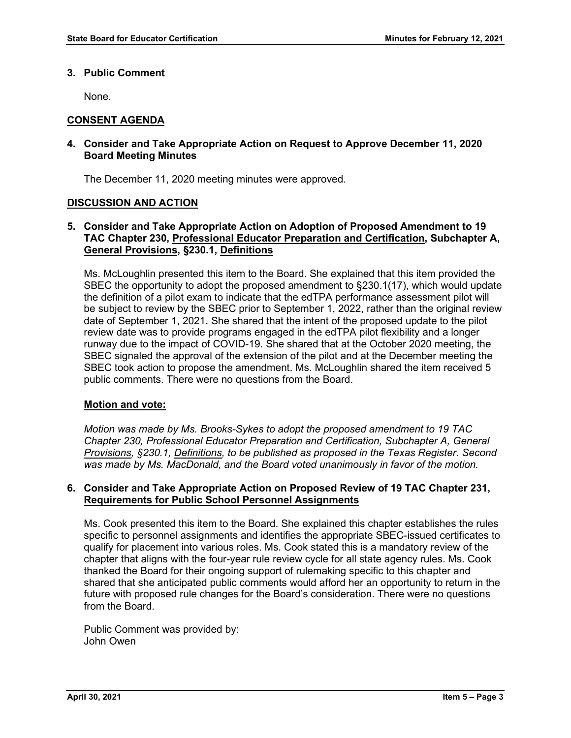#### **3. Public Comment**

None.

#### **CONSENT AGENDA**

#### **4. Consider and Take Appropriate Action on Request to Approve December 11, 2020 Board Meeting Minutes**

The December 11, 2020 meeting minutes were approved.

#### **DISCUSSION AND ACTION**

#### **5. Consider and Take Appropriate Action on Adoption of Proposed Amendment to 19 TAC Chapter 230, Professional Educator Preparation and Certification, Subchapter A, General Provisions, §230.1, Definitions**

Ms. McLoughlin presented this item to the Board. She explained that this item provided the SBEC the opportunity to adopt the proposed amendment to §230.1(17), which would update the definition of a pilot exam to indicate that the edTPA performance assessment pilot will be subject to review by the SBEC prior to September 1, 2022, rather than the original review date of September 1, 2021. She shared that the intent of the proposed update to the pilot review date was to provide programs engaged in the edTPA pilot flexibility and a longer runway due to the impact of COVID-19. She shared that at the October 2020 meeting, the SBEC signaled the approval of the extension of the pilot and at the December meeting the SBEC took action to propose the amendment. Ms. McLoughlin shared the item received 5 public comments. There were no questions from the Board.

#### **Motion and vote:**

*Motion was made by Ms. Brooks-Sykes to adopt the proposed amendment to 19 TAC Chapter 230, Professional Educator Preparation and Certification, Subchapter A, General Provisions, §230.1, Definitions, to be published as proposed in the Texas Register. Second was made by Ms. MacDonald, and the Board voted unanimously in favor of the motion.*

#### **6. Consider and Take Appropriate Action on Proposed Review of 19 TAC Chapter 231, Requirements for Public School Personnel Assignments**

Ms. Cook presented this item to the Board. She explained this chapter establishes the rules specific to personnel assignments and identifies the appropriate SBEC-issued certificates to qualify for placement into various roles. Ms. Cook stated this is a mandatory review of the chapter that aligns with the four-year rule review cycle for all state agency rules. Ms. Cook thanked the Board for their ongoing support of rulemaking specific to this chapter and shared that she anticipated public comments would afford her an opportunity to return in the future with proposed rule changes for the Board's consideration. There were no questions from the Board.

Public Comment was provided by: John Owen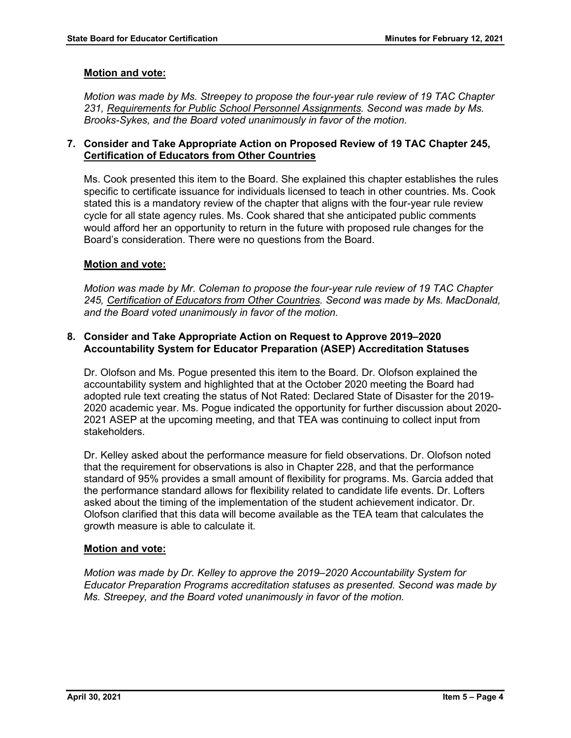#### **Motion and vote:**

*Motion was made by Ms. Streepey to propose the four-year rule review of 19 TAC Chapter 231, Requirements for Public School Personnel Assignments. Second was made by Ms. Brooks-Sykes, and the Board voted unanimously in favor of the motion.*

#### **7. Consider and Take Appropriate Action on Proposed Review of 19 TAC Chapter 245, Certification of Educators from Other Countries**

Ms. Cook presented this item to the Board. She explained this chapter establishes the rules specific to certificate issuance for individuals licensed to teach in other countries. Ms. Cook stated this is a mandatory review of the chapter that aligns with the four-year rule review cycle for all state agency rules. Ms. Cook shared that she anticipated public comments would afford her an opportunity to return in the future with proposed rule changes for the Board's consideration. There were no questions from the Board.

#### **Motion and vote:**

*Motion was made by Mr. Coleman to propose the four-year rule review of 19 TAC Chapter 245, Certification of Educators from Other Countries. Second was made by Ms. MacDonald, and the Board voted unanimously in favor of the motion.*

#### **8. Consider and Take Appropriate Action on Request to Approve 2019–2020 Accountability System for Educator Preparation (ASEP) Accreditation Statuses**

Dr. Olofson and Ms. Pogue presented this item to the Board. Dr. Olofson explained the accountability system and highlighted that at the October 2020 meeting the Board had adopted rule text creating the status of Not Rated: Declared State of Disaster for the 2019- 2020 academic year. Ms. Pogue indicated the opportunity for further discussion about 2020- 2021 ASEP at the upcoming meeting, and that TEA was continuing to collect input from stakeholders.

Dr. Kelley asked about the performance measure for field observations. Dr. Olofson noted that the requirement for observations is also in Chapter 228, and that the performance standard of 95% provides a small amount of flexibility for programs. Ms. Garcia added that the performance standard allows for flexibility related to candidate life events. Dr. Lofters asked about the timing of the implementation of the student achievement indicator. Dr. Olofson clarified that this data will become available as the TEA team that calculates the growth measure is able to calculate it.

## **Motion and vote:**

*Motion was made by Dr. Kelley to approve the 2019–2020 Accountability System for Educator Preparation Programs accreditation statuses as presented. Second was made by Ms. Streepey, and the Board voted unanimously in favor of the motion.*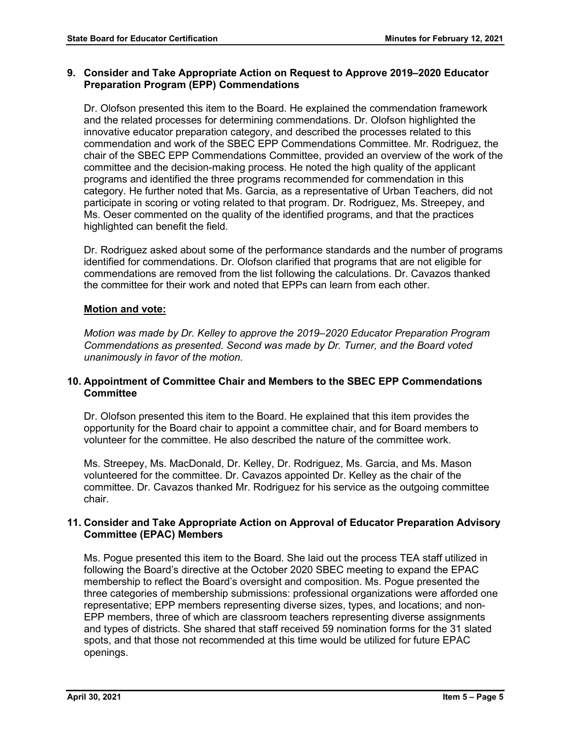#### **9. Consider and Take Appropriate Action on Request to Approve 2019–2020 Educator Preparation Program (EPP) Commendations**

Dr. Olofson presented this item to the Board. He explained the commendation framework and the related processes for determining commendations. Dr. Olofson highlighted the innovative educator preparation category, and described the processes related to this commendation and work of the SBEC EPP Commendations Committee. Mr. Rodriguez, the chair of the SBEC EPP Commendations Committee, provided an overview of the work of the committee and the decision-making process. He noted the high quality of the applicant programs and identified the three programs recommended for commendation in this category. He further noted that Ms. Garcia, as a representative of Urban Teachers, did not participate in scoring or voting related to that program. Dr. Rodriguez, Ms. Streepey, and Ms. Oeser commented on the quality of the identified programs, and that the practices highlighted can benefit the field.

Dr. Rodriguez asked about some of the performance standards and the number of programs identified for commendations. Dr. Olofson clarified that programs that are not eligible for commendations are removed from the list following the calculations. Dr. Cavazos thanked the committee for their work and noted that EPPs can learn from each other.

## **Motion and vote:**

*Motion was made by Dr. Kelley to approve the 2019–2020 Educator Preparation Program Commendations as presented. Second was made by Dr. Turner, and the Board voted unanimously in favor of the motion.*

## **10. Appointment of Committee Chair and Members to the SBEC EPP Commendations Committee**

Dr. Olofson presented this item to the Board. He explained that this item provides the opportunity for the Board chair to appoint a committee chair, and for Board members to volunteer for the committee. He also described the nature of the committee work.

Ms. Streepey, Ms. MacDonald, Dr. Kelley, Dr. Rodriguez, Ms. Garcia, and Ms. Mason volunteered for the committee. Dr. Cavazos appointed Dr. Kelley as the chair of the committee. Dr. Cavazos thanked Mr. Rodriguez for his service as the outgoing committee chair.

#### **11. Consider and Take Appropriate Action on Approval of Educator Preparation Advisory Committee (EPAC) Members**

Ms. Pogue presented this item to the Board. She laid out the process TEA staff utilized in following the Board's directive at the October 2020 SBEC meeting to expand the EPAC membership to reflect the Board's oversight and composition. Ms. Pogue presented the three categories of membership submissions: professional organizations were afforded one representative; EPP members representing diverse sizes, types, and locations; and non-EPP members, three of which are classroom teachers representing diverse assignments and types of districts. She shared that staff received 59 nomination forms for the 31 slated spots, and that those not recommended at this time would be utilized for future EPAC openings.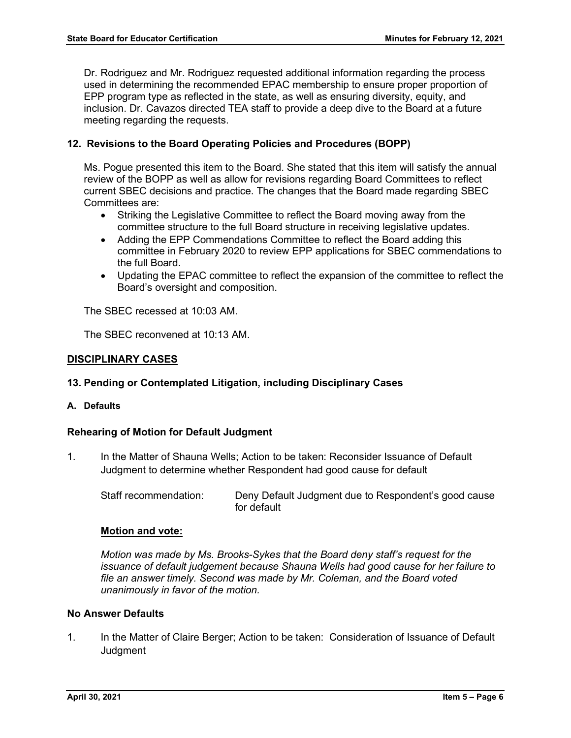Dr. Rodriguez and Mr. Rodriguez requested additional information regarding the process used in determining the recommended EPAC membership to ensure proper proportion of EPP program type as reflected in the state, as well as ensuring diversity, equity, and inclusion. Dr. Cavazos directed TEA staff to provide a deep dive to the Board at a future meeting regarding the requests.

## **12. Revisions to the Board Operating Policies and Procedures (BOPP)**

Ms. Pogue presented this item to the Board. She stated that this item will satisfy the annual review of the BOPP as well as allow for revisions regarding Board Committees to reflect current SBEC decisions and practice. The changes that the Board made regarding SBEC Committees are:

- Striking the Legislative Committee to reflect the Board moving away from the committee structure to the full Board structure in receiving legislative updates.
- Adding the EPP Commendations Committee to reflect the Board adding this committee in February 2020 to review EPP applications for SBEC commendations to the full Board.
- Updating the EPAC committee to reflect the expansion of the committee to reflect the Board's oversight and composition.

The SBEC recessed at 10:03 AM.

The SBEC reconvened at 10:13 AM.

#### **DISCIPLINARY CASES**

#### **13. Pending or Contemplated Litigation, including Disciplinary Cases**

**A. Defaults**

#### **Rehearing of Motion for Default Judgment**

1. In the Matter of Shauna Wells; Action to be taken: Reconsider Issuance of Default Judgment to determine whether Respondent had good cause for default

Staff recommendation: Deny Default Judgment due to Respondent's good cause for default

#### **Motion and vote:**

*Motion was made by Ms. Brooks-Sykes that the Board deny staff's request for the issuance of default judgement because Shauna Wells had good cause for her failure to file an answer timely. Second was made by Mr. Coleman, and the Board voted unanimously in favor of the motion.* 

#### **No Answer Defaults**

1. In the Matter of Claire Berger; Action to be taken: Consideration of Issuance of Default **Judgment**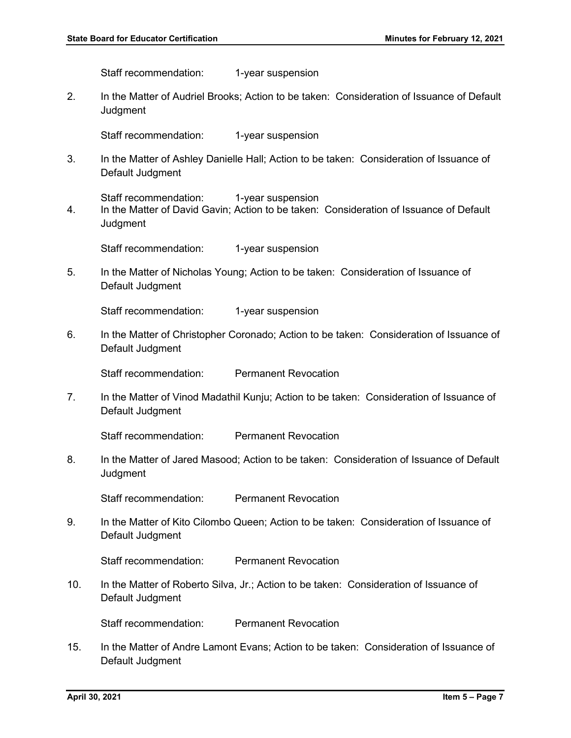Staff recommendation: 1-year suspension

2. In the Matter of Audriel Brooks; Action to be taken: Consideration of Issuance of Default **Judament** 

Staff recommendation: 1-year suspension

3. In the Matter of Ashley Danielle Hall; Action to be taken: Consideration of Issuance of Default Judgment

Staff recommendation: 1-year suspension

4. In the Matter of David Gavin; Action to be taken: Consideration of Issuance of Default **Judgment** 

Staff recommendation: 1-year suspension

5. In the Matter of Nicholas Young; Action to be taken: Consideration of Issuance of Default Judgment

Staff recommendation: 1-year suspension

6. In the Matter of Christopher Coronado; Action to be taken: Consideration of Issuance of Default Judgment

Staff recommendation: Permanent Revocation

7. In the Matter of Vinod Madathil Kunju; Action to be taken: Consideration of Issuance of Default Judgment

Staff recommendation: Permanent Revocation

8. In the Matter of Jared Masood; Action to be taken: Consideration of Issuance of Default **Judgment** 

Staff recommendation: Permanent Revocation

9. In the Matter of Kito Cilombo Queen; Action to be taken: Consideration of Issuance of Default Judgment

Staff recommendation: Permanent Revocation

10. In the Matter of Roberto Silva, Jr.; Action to be taken: Consideration of Issuance of Default Judgment

Staff recommendation: Permanent Revocation

15. In the Matter of Andre Lamont Evans; Action to be taken: Consideration of Issuance of Default Judgment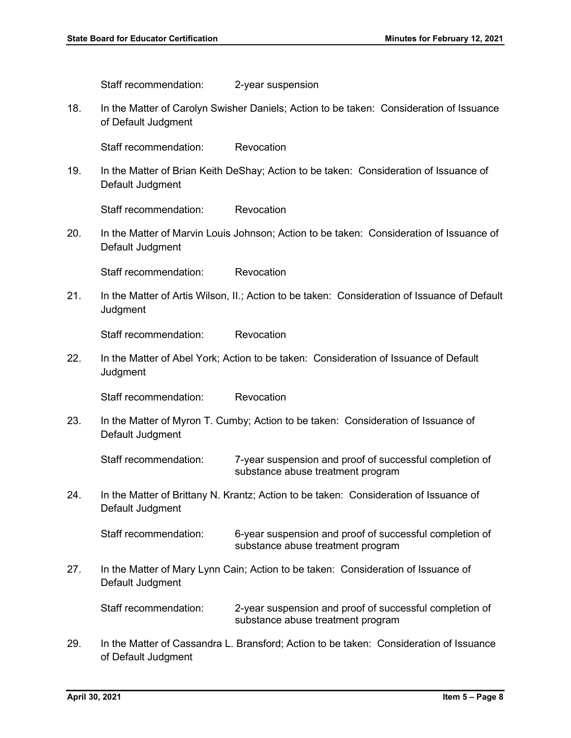|     | Staff recommendation:                                                                                     | 2-year suspension                                                                            |
|-----|-----------------------------------------------------------------------------------------------------------|----------------------------------------------------------------------------------------------|
| 18. | of Default Judgment                                                                                       | In the Matter of Carolyn Swisher Daniels; Action to be taken: Consideration of Issuance      |
|     | Staff recommendation:                                                                                     | Revocation                                                                                   |
| 19. | In the Matter of Brian Keith DeShay; Action to be taken: Consideration of Issuance of<br>Default Judgment |                                                                                              |
|     | Staff recommendation:                                                                                     | Revocation                                                                                   |
| 20. | Default Judgment                                                                                          | In the Matter of Marvin Louis Johnson; Action to be taken: Consideration of Issuance of      |
|     | Staff recommendation:                                                                                     | Revocation                                                                                   |
| 21. | Judgment                                                                                                  | In the Matter of Artis Wilson, II.; Action to be taken: Consideration of Issuance of Default |
|     | Staff recommendation:                                                                                     | Revocation                                                                                   |
| 22. | Judgment                                                                                                  | In the Matter of Abel York; Action to be taken: Consideration of Issuance of Default         |
|     | Staff recommendation:                                                                                     | Revocation                                                                                   |
| 23. | In the Matter of Myron T. Cumby; Action to be taken: Consideration of Issuance of<br>Default Judgment     |                                                                                              |
|     | Staff recommendation:                                                                                     | 7-year suspension and proof of successful completion of<br>substance abuse treatment program |
| 24. | In the Matter of Brittany N. Krantz; Action to be taken: Consideration of Issuance of<br>Default Judgment |                                                                                              |
|     | Staff recommendation:                                                                                     | 6-year suspension and proof of successful completion of<br>substance abuse treatment program |
| 27. | In the Matter of Mary Lynn Cain; Action to be taken: Consideration of Issuance of<br>Default Judgment     |                                                                                              |
|     | Staff recommendation:                                                                                     | 2-year suspension and proof of successful completion of<br>substance abuse treatment program |
| 29. | of Default Judgment                                                                                       | In the Matter of Cassandra L. Bransford; Action to be taken: Consideration of Issuance       |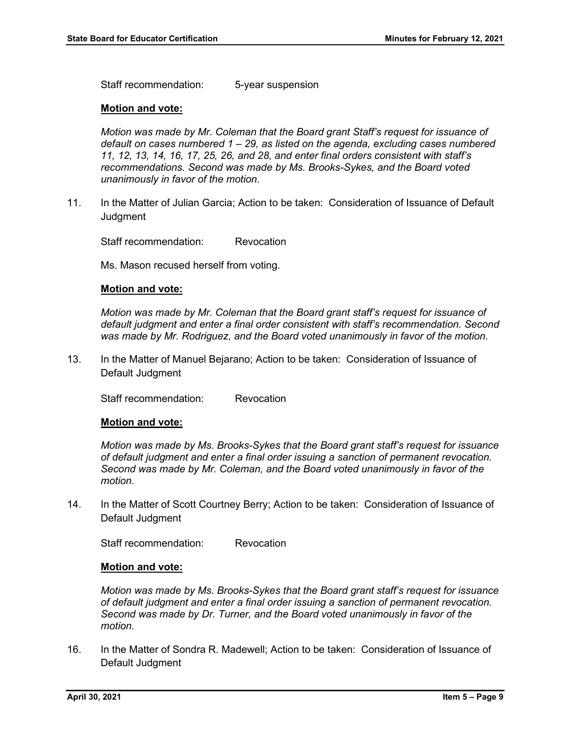Staff recommendation: 5-year suspension

#### **Motion and vote:**

*Motion was made by Mr. Coleman that the Board grant Staff's request for issuance of default on cases numbered 1 – 29, as listed on the agenda, excluding cases numbered 11, 12, 13, 14, 16, 17, 25, 26, and 28, and enter final orders consistent with staff's recommendations. Second was made by Ms. Brooks-Sykes, and the Board voted unanimously in favor of the motion.* 

11. In the Matter of Julian Garcia; Action to be taken: Consideration of Issuance of Default **Judgment** 

Staff recommendation: Revocation

Ms. Mason recused herself from voting.

#### **Motion and vote:**

*Motion was made by Mr. Coleman that the Board grant staff's request for issuance of default judgment and enter a final order consistent with staff's recommendation. Second was made by Mr. Rodriguez, and the Board voted unanimously in favor of the motion.* 

13. In the Matter of Manuel Bejarano; Action to be taken: Consideration of Issuance of Default Judgment

Staff recommendation: Revocation

#### **Motion and vote:**

*Motion was made by Ms. Brooks-Sykes that the Board grant staff's request for issuance of default judgment and enter a final order issuing a sanction of permanent revocation. Second was made by Mr. Coleman, and the Board voted unanimously in favor of the motion.*

14. In the Matter of Scott Courtney Berry; Action to be taken: Consideration of Issuance of Default Judgment

Staff recommendation: Revocation

#### **Motion and vote:**

*Motion was made by Ms. Brooks-Sykes that the Board grant staff's request for issuance of default judgment and enter a final order issuing a sanction of permanent revocation. Second was made by Dr. Turner, and the Board voted unanimously in favor of the motion.*

16. In the Matter of Sondra R. Madewell; Action to be taken: Consideration of Issuance of Default Judgment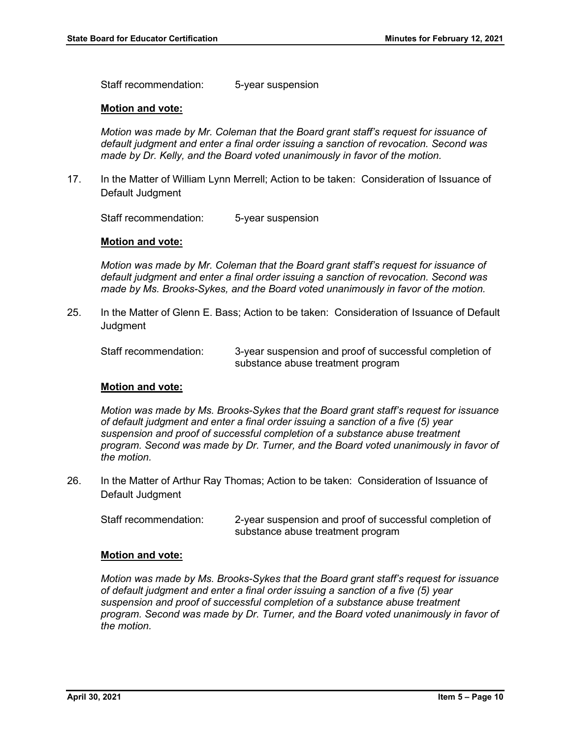Staff recommendation: 5-year suspension

#### **Motion and vote:**

*Motion was made by Mr. Coleman that the Board grant staff's request for issuance of default judgment and enter a final order issuing a sanction of revocation. Second was made by Dr. Kelly, and the Board voted unanimously in favor of the motion.*

17. In the Matter of William Lynn Merrell; Action to be taken: Consideration of Issuance of Default Judgment

Staff recommendation: 5-year suspension

#### **Motion and vote:**

*Motion was made by Mr. Coleman that the Board grant staff's request for issuance of default judgment and enter a final order issuing a sanction of revocation. Second was made by Ms. Brooks-Sykes, and the Board voted unanimously in favor of the motion.*

25. In the Matter of Glenn E. Bass; Action to be taken: Consideration of Issuance of Default **Judgment** 

Staff recommendation: 3-year suspension and proof of successful completion of substance abuse treatment program

#### **Motion and vote:**

*Motion was made by Ms. Brooks-Sykes that the Board grant staff's request for issuance of default judgment and enter a final order issuing a sanction of a five (5) year suspension and proof of successful completion of a substance abuse treatment program. Second was made by Dr. Turner, and the Board voted unanimously in favor of the motion.*

26. In the Matter of Arthur Ray Thomas; Action to be taken: Consideration of Issuance of Default Judgment

Staff recommendation: 2-year suspension and proof of successful completion of substance abuse treatment program

#### **Motion and vote:**

*Motion was made by Ms. Brooks-Sykes that the Board grant staff's request for issuance of default judgment and enter a final order issuing a sanction of a five (5) year suspension and proof of successful completion of a substance abuse treatment program. Second was made by Dr. Turner, and the Board voted unanimously in favor of the motion.*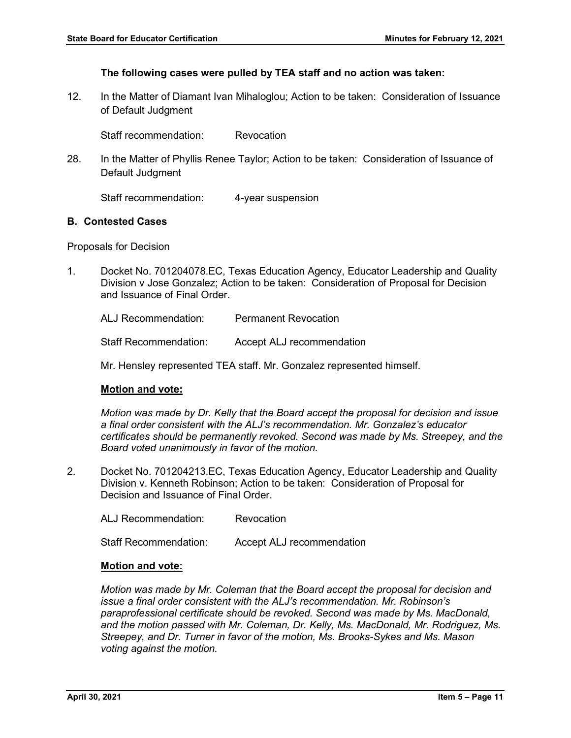#### **The following cases were pulled by TEA staff and no action was taken:**

12. In the Matter of Diamant Ivan Mihaloglou; Action to be taken: Consideration of Issuance of Default Judgment

Staff recommendation: Revocation

28. In the Matter of Phyllis Renee Taylor; Action to be taken: Consideration of Issuance of Default Judgment

Staff recommendation: 4-year suspension

#### **B. Contested Cases**

Proposals for Decision

1. Docket No. 701204078.EC, Texas Education Agency, Educator Leadership and Quality Division v Jose Gonzalez; Action to be taken: Consideration of Proposal for Decision and Issuance of Final Order.

ALJ Recommendation: Permanent Revocation

Staff Recommendation: Accept ALJ recommendation

Mr. Hensley represented TEA staff. Mr. Gonzalez represented himself.

#### **Motion and vote:**

*Motion was made by Dr. Kelly that the Board accept the proposal for decision and issue a final order consistent with the ALJ's recommendation. Mr. Gonzalez's educator certificates should be permanently revoked. Second was made by Ms. Streepey, and the Board voted unanimously in favor of the motion.* 

2. Docket No. 701204213.EC, Texas Education Agency, Educator Leadership and Quality Division v. Kenneth Robinson; Action to be taken: Consideration of Proposal for Decision and Issuance of Final Order.

ALJ Recommendation: Revocation Staff Recommendation: Accept ALJ recommendation

#### **Motion and vote:**

*Motion was made by Mr. Coleman that the Board accept the proposal for decision and issue a final order consistent with the ALJ's recommendation. Mr. Robinson's paraprofessional certificate should be revoked. Second was made by Ms. MacDonald, and the motion passed with Mr. Coleman, Dr. Kelly, Ms. MacDonald, Mr. Rodriguez, Ms. Streepey, and Dr. Turner in favor of the motion, Ms. Brooks-Sykes and Ms. Mason voting against the motion.*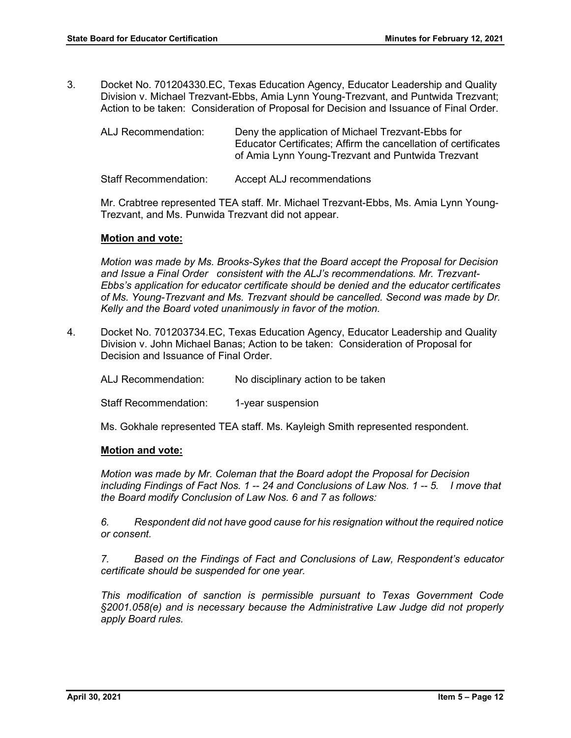3. Docket No. 701204330.EC, Texas Education Agency, Educator Leadership and Quality Division v. Michael Trezvant-Ebbs, Amia Lynn Young-Trezvant, and Puntwida Trezvant; Action to be taken: Consideration of Proposal for Decision and Issuance of Final Order.

| ALJ Recommendation: | Deny the application of Michael Trezvant-Ebbs for              |
|---------------------|----------------------------------------------------------------|
|                     | Educator Certificates: Affirm the cancellation of certificates |
|                     | of Amia Lynn Young-Trezvant and Puntwida Trezvant              |
|                     |                                                                |

Staff Recommendation: Accept ALJ recommendations

Mr. Crabtree represented TEA staff. Mr. Michael Trezvant-Ebbs, Ms. Amia Lynn Young-Trezvant, and Ms. Punwida Trezvant did not appear.

#### **Motion and vote:**

*Motion was made by Ms. Brooks-Sykes that the Board accept the Proposal for Decision and Issue a Final Order consistent with the ALJ's recommendations. Mr. Trezvant-Ebbs's application for educator certificate should be denied and the educator certificates of Ms. Young-Trezvant and Ms. Trezvant should be cancelled. Second was made by Dr. Kelly and the Board voted unanimously in favor of the motion.*

4. Docket No. 701203734.EC, Texas Education Agency, Educator Leadership and Quality Division v. John Michael Banas; Action to be taken: Consideration of Proposal for Decision and Issuance of Final Order.

ALJ Recommendation: No disciplinary action to be taken

Staff Recommendation: 1-year suspension

Ms. Gokhale represented TEA staff. Ms. Kayleigh Smith represented respondent.

#### **Motion and vote:**

*Motion was made by Mr. Coleman that the Board adopt the Proposal for Decision including Findings of Fact Nos. 1 -- 24 and Conclusions of Law Nos. 1 -- 5. I move that the Board modify Conclusion of Law Nos. 6 and 7 as follows:*

*6. Respondent did not have good cause for his resignation without the required notice or consent.* 

*7. Based on the Findings of Fact and Conclusions of Law, Respondent's educator certificate should be suspended for one year.*

*This modification of sanction is permissible pursuant to Texas Government Code §2001.058(e) and is necessary because the Administrative Law Judge did not properly apply Board rules.*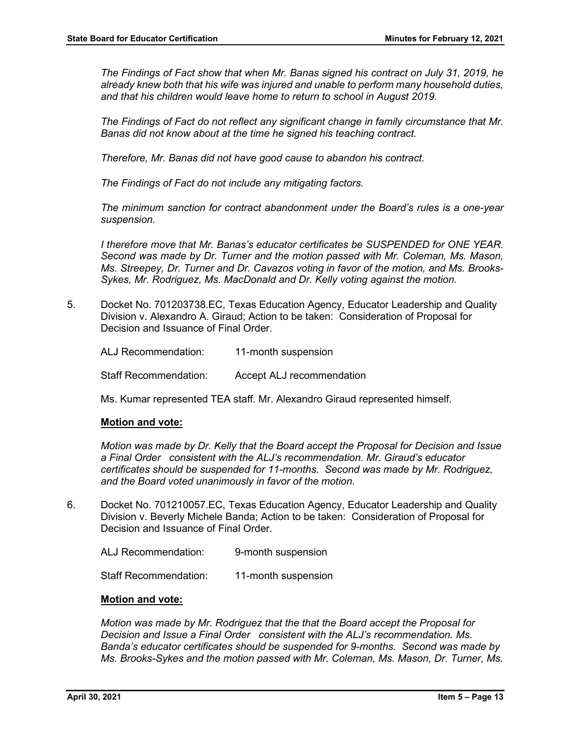*The Findings of Fact show that when Mr. Banas signed his contract on July 31, 2019, he already knew both that his wife was injured and unable to perform many household duties, and that his children would leave home to return to school in August 2019.*

*The Findings of Fact do not reflect any significant change in family circumstance that Mr. Banas did not know about at the time he signed his teaching contract.* 

*Therefore, Mr. Banas did not have good cause to abandon his contract.*

*The Findings of Fact do not include any mitigating factors.* 

*The minimum sanction for contract abandonment under the Board's rules is a one-year suspension.*

*I therefore move that Mr. Banas's educator certificates be SUSPENDED for ONE YEAR. Second was made by Dr. Turner and the motion passed with Mr. Coleman, Ms. Mason, Ms. Streepey, Dr. Turner and Dr. Cavazos voting in favor of the motion, and Ms. Brooks-Sykes, Mr. Rodriguez, Ms. MacDonald and Dr. Kelly voting against the motion.* 

5. Docket No. 701203738.EC, Texas Education Agency, Educator Leadership and Quality Division v. Alexandro A. Giraud; Action to be taken: Consideration of Proposal for Decision and Issuance of Final Order.

ALJ Recommendation: 11-month suspension Staff Recommendation: Accept ALJ recommendation

Ms. Kumar represented TEA staff. Mr. Alexandro Giraud represented himself.

#### **Motion and vote:**

*Motion was made by Dr. Kelly that the Board accept the Proposal for Decision and Issue a Final Order consistent with the ALJ's recommendation. Mr. Giraud's educator certificates should be suspended for 11-months. Second was made by Mr. Rodriguez, and the Board voted unanimously in favor of the motion.*

- 6. Docket No. 701210057.EC, Texas Education Agency, Educator Leadership and Quality Division v. Beverly Michele Banda; Action to be taken: Consideration of Proposal for Decision and Issuance of Final Order.
	- ALJ Recommendation: 9-month suspension

Staff Recommendation: 11-month suspension

#### **Motion and vote:**

*Motion was made by Mr. Rodriguez that the that the Board accept the Proposal for Decision and Issue a Final Order consistent with the ALJ's recommendation. Ms. Banda's educator certificates should be suspended for 9-months. Second was made by Ms. Brooks-Sykes and the motion passed with Mr. Coleman, Ms. Mason, Dr. Turner, Ms.*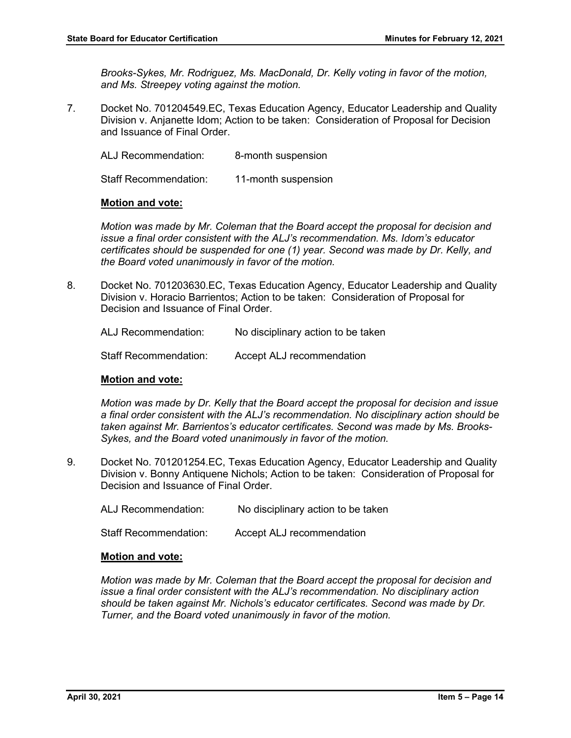*Brooks-Sykes, Mr. Rodriguez, Ms. MacDonald, Dr. Kelly voting in favor of the motion, and Ms. Streepey voting against the motion.*

7. Docket No. 701204549.EC, Texas Education Agency, Educator Leadership and Quality Division v. Anjanette Idom; Action to be taken: Consideration of Proposal for Decision and Issuance of Final Order.

ALJ Recommendation: 8-month suspension

Staff Recommendation: 11-month suspension

#### **Motion and vote:**

*Motion was made by Mr. Coleman that the Board accept the proposal for decision and issue a final order consistent with the ALJ's recommendation. Ms. Idom's educator certificates should be suspended for one (1) year. Second was made by Dr. Kelly, and the Board voted unanimously in favor of the motion.* 

8. Docket No. 701203630.EC, Texas Education Agency, Educator Leadership and Quality Division v. Horacio Barrientos; Action to be taken: Consideration of Proposal for Decision and Issuance of Final Order.

ALJ Recommendation: No disciplinary action to be taken

Staff Recommendation: Accept ALJ recommendation

#### **Motion and vote:**

*Motion was made by Dr. Kelly that the Board accept the proposal for decision and issue a final order consistent with the ALJ's recommendation. No disciplinary action should be taken against Mr. Barrientos's educator certificates. Second was made by Ms. Brooks-Sykes, and the Board voted unanimously in favor of the motion.* 

9. Docket No. 701201254.EC, Texas Education Agency, Educator Leadership and Quality Division v. Bonny Antiquene Nichols; Action to be taken: Consideration of Proposal for Decision and Issuance of Final Order.

ALJ Recommendation: No disciplinary action to be taken

Staff Recommendation: Accept ALJ recommendation

#### **Motion and vote:**

*Motion was made by Mr. Coleman that the Board accept the proposal for decision and issue a final order consistent with the ALJ's recommendation. No disciplinary action should be taken against Mr. Nichols's educator certificates. Second was made by Dr. Turner, and the Board voted unanimously in favor of the motion.*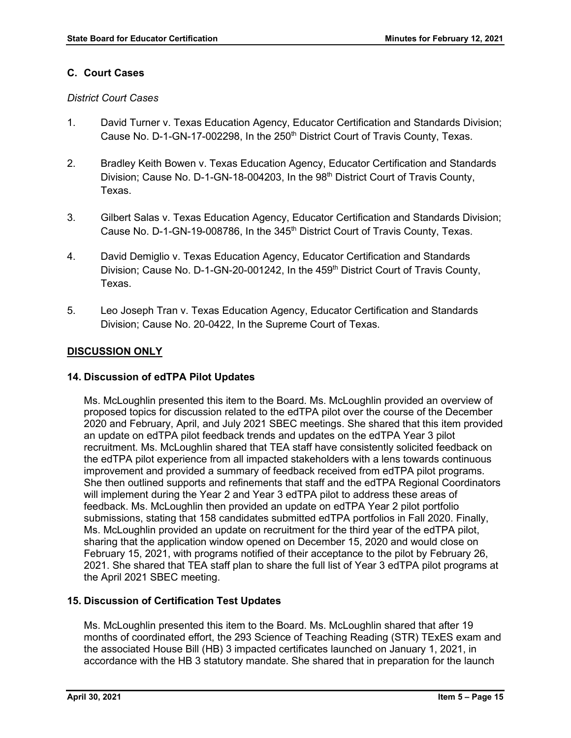#### **C. Court Cases**

#### *District Court Cases*

- 1. David Turner v. Texas Education Agency, Educator Certification and Standards Division; Cause No. D-1-GN-17-002298, In the 250<sup>th</sup> District Court of Travis County, Texas.
- 2. Bradley Keith Bowen v. Texas Education Agency, Educator Certification and Standards Division; Cause No. D-1-GN-18-004203, In the 98<sup>th</sup> District Court of Travis County, Texas.
- 3. Gilbert Salas v. Texas Education Agency, Educator Certification and Standards Division; Cause No. D-1-GN-19-008786, In the 345<sup>th</sup> District Court of Travis County, Texas.
- 4. David Demiglio v. Texas Education Agency, Educator Certification and Standards Division; Cause No. D-1-GN-20-001242, In the 459<sup>th</sup> District Court of Travis County, Texas.
- 5. Leo Joseph Tran v. Texas Education Agency, Educator Certification and Standards Division; Cause No. 20-0422, In the Supreme Court of Texas.

## **DISCUSSION ONLY**

## **14. Discussion of edTPA Pilot Updates**

Ms. McLoughlin presented this item to the Board. Ms. McLoughlin provided an overview of proposed topics for discussion related to the edTPA pilot over the course of the December 2020 and February, April, and July 2021 SBEC meetings. She shared that this item provided an update on edTPA pilot feedback trends and updates on the edTPA Year 3 pilot recruitment. Ms. McLoughlin shared that TEA staff have consistently solicited feedback on the edTPA pilot experience from all impacted stakeholders with a lens towards continuous improvement and provided a summary of feedback received from edTPA pilot programs. She then outlined supports and refinements that staff and the edTPA Regional Coordinators will implement during the Year 2 and Year 3 edTPA pilot to address these areas of feedback. Ms. McLoughlin then provided an update on edTPA Year 2 pilot portfolio submissions, stating that 158 candidates submitted edTPA portfolios in Fall 2020. Finally, Ms. McLoughlin provided an update on recruitment for the third year of the edTPA pilot, sharing that the application window opened on December 15, 2020 and would close on February 15, 2021, with programs notified of their acceptance to the pilot by February 26, 2021. She shared that TEA staff plan to share the full list of Year 3 edTPA pilot programs at the April 2021 SBEC meeting.

## **15. Discussion of Certification Test Updates**

Ms. McLoughlin presented this item to the Board. Ms. McLoughlin shared that after 19 months of coordinated effort, the 293 Science of Teaching Reading (STR) TExES exam and the associated House Bill (HB) 3 impacted certificates launched on January 1, 2021, in accordance with the HB 3 statutory mandate. She shared that in preparation for the launch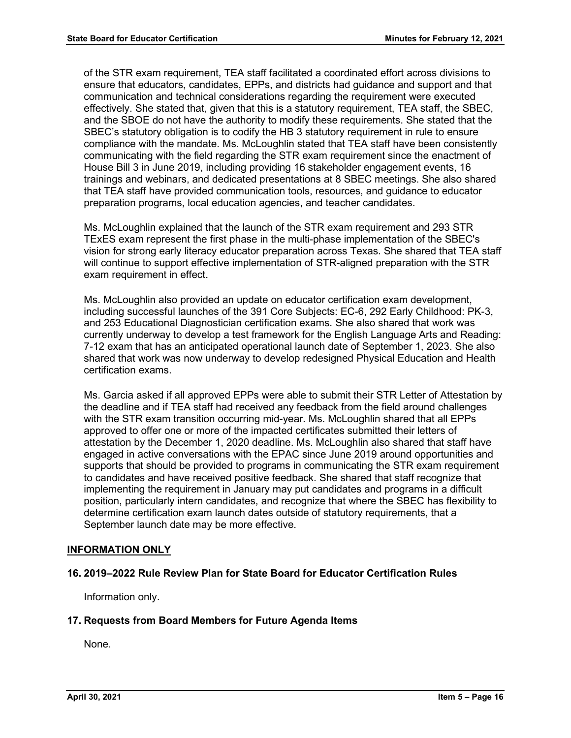of the STR exam requirement, TEA staff facilitated a coordinated effort across divisions to ensure that educators, candidates, EPPs, and districts had guidance and support and that communication and technical considerations regarding the requirement were executed effectively. She stated that, given that this is a statutory requirement, TEA staff, the SBEC, and the SBOE do not have the authority to modify these requirements. She stated that the SBEC's statutory obligation is to codify the HB 3 statutory requirement in rule to ensure compliance with the mandate. Ms. McLoughlin stated that TEA staff have been consistently communicating with the field regarding the STR exam requirement since the enactment of House Bill 3 in June 2019, including providing 16 stakeholder engagement events, 16 trainings and webinars, and dedicated presentations at 8 SBEC meetings. She also shared that TEA staff have provided communication tools, resources, and guidance to educator preparation programs, local education agencies, and teacher candidates.

Ms. McLoughlin explained that the launch of the STR exam requirement and 293 STR TExES exam represent the first phase in the multi-phase implementation of the SBEC's vision for strong early literacy educator preparation across Texas. She shared that TEA staff will continue to support effective implementation of STR-aligned preparation with the STR exam requirement in effect.

Ms. McLoughlin also provided an update on educator certification exam development, including successful launches of the 391 Core Subjects: EC-6, 292 Early Childhood: PK-3, and 253 Educational Diagnostician certification exams. She also shared that work was currently underway to develop a test framework for the English Language Arts and Reading: 7-12 exam that has an anticipated operational launch date of September 1, 2023. She also shared that work was now underway to develop redesigned Physical Education and Health certification exams.

Ms. Garcia asked if all approved EPPs were able to submit their STR Letter of Attestation by the deadline and if TEA staff had received any feedback from the field around challenges with the STR exam transition occurring mid-year. Ms. McLoughlin shared that all EPPs approved to offer one or more of the impacted certificates submitted their letters of attestation by the December 1, 2020 deadline. Ms. McLoughlin also shared that staff have engaged in active conversations with the EPAC since June 2019 around opportunities and supports that should be provided to programs in communicating the STR exam requirement to candidates and have received positive feedback. She shared that staff recognize that implementing the requirement in January may put candidates and programs in a difficult position, particularly intern candidates, and recognize that where the SBEC has flexibility to determine certification exam launch dates outside of statutory requirements, that a September launch date may be more effective.

## **INFORMATION ONLY**

#### **16. 2019–2022 Rule Review Plan for State Board for Educator Certification Rules**

Information only.

#### **17. Requests from Board Members for Future Agenda Items**

None.